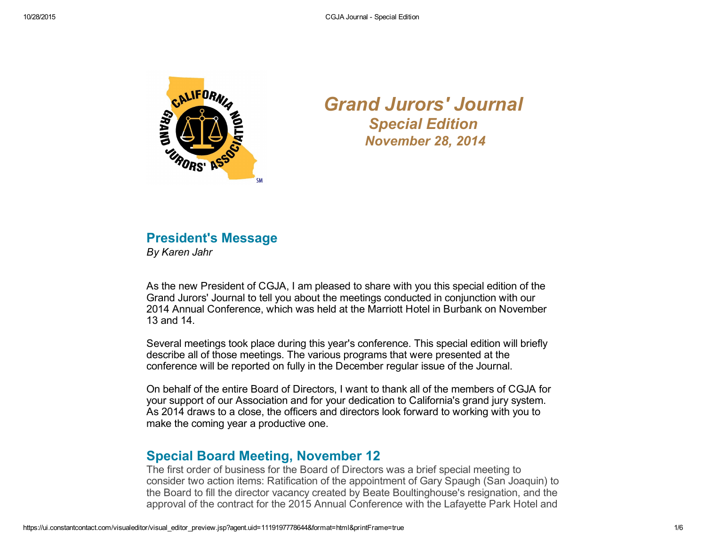

*Grand Jurors' Journal Special Edition November 28, 2014*

### President's Message *By Karen Jahr*

As the new President of CGJA, I am pleased to share with you this special edition of the Grand Jurors' Journal to tell you about the meetings conducted in conjunction with our 2014 Annual Conference, which was held at the Marriott Hotel in Burbank on November 13 and 14.

Several meetings took place during this year's conference. This special edition will briefly describe all of those meetings. The various programs that were presented at the conference will be reported on fully in the December regular issue of the Journal.

On behalf of the entire Board of Directors, I want to thank all of the members of CGJA for your support of our Association and for your dedication to California's grand jury system. As 2014 draws to a close, the officers and directors look forward to working with you to make the coming year a productive one.

# Special Board Meeting, November 12

The first order of business for the Board of Directors was a brief special meeting to consider two action items: Ratification of the appointment of Gary Spaugh (San Joaquin) to the Board to fill the director vacancy created by Beate Boultinghouse's resignation, and the approval of the contract for the 2015 Annual Conference with the Lafayette Park Hotel and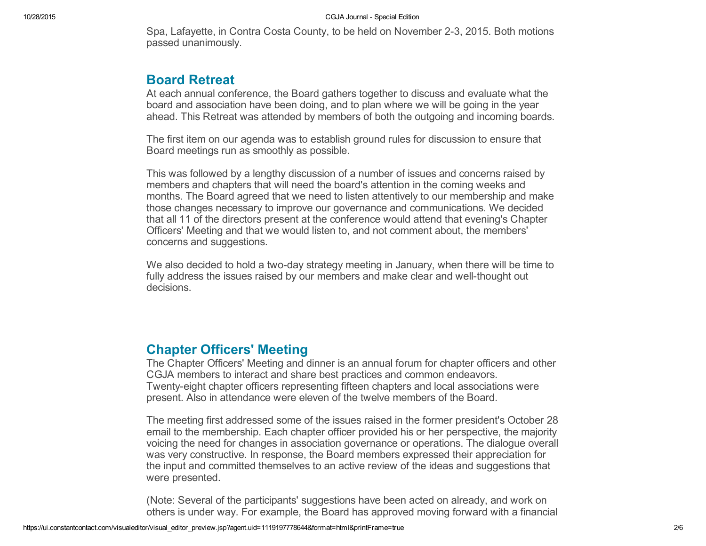Spa, Lafayette, in Contra Costa County, to be held on November 23, 2015. Both motions passed unanimously.

### Board Retreat

At each annual conference, the Board gathers together to discuss and evaluate what the board and association have been doing, and to plan where we will be going in the year ahead. This Retreat was attended by members of both the outgoing and incoming boards.

The first item on our agenda was to establish ground rules for discussion to ensure that Board meetings run as smoothly as possible.

This was followed by a lengthy discussion of a number of issues and concerns raised by members and chapters that will need the board's attention in the coming weeks and months. The Board agreed that we need to listen attentively to our membership and make those changes necessary to improve our governance and communications. We decided that all 11 of the directors present at the conference would attend that evening's Chapter Officers' Meeting and that we would listen to, and not comment about, the members' concerns and suggestions.

We also decided to hold a two-day strategy meeting in January, when there will be time to fully address the issues raised by our members and make clear and well-thought out decisions.

## Chapter Officers' Meeting

The Chapter Officers' Meeting and dinner is an annual forum for chapter officers and other CGJA members to interact and share best practices and common endeavors. Twentyeight chapter officers representing fifteen chapters and local associations were present. Also in attendance were eleven of the twelve members of the Board.

The meeting first addressed some of the issues raised in the former president's October 28 email to the membership. Each chapter officer provided his or her perspective, the majority voicing the need for changes in association governance or operations. The dialogue overall was very constructive. In response, the Board members expressed their appreciation for the input and committed themselves to an active review of the ideas and suggestions that were presented.

(Note: Several of the participants' suggestions have been acted on already, and work on others is under way. For example, the Board has approved moving forward with a financial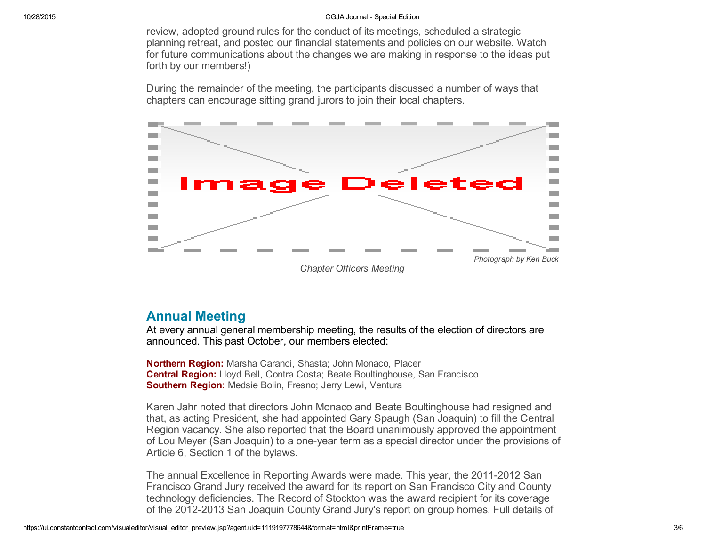review, adopted ground rules for the conduct of its meetings, scheduled a strategic planning retreat, and posted our financial statements and policies on our website. Watch for future communications about the changes we are making in response to the ideas put forth by our members!)

During the remainder of the meeting, the participants discussed a number of ways that chapters can encourage sitting grand jurors to join their local chapters.



### Annual Meeting

At every annual general membership meeting, the results of the election of directors are announced. This past October, our members elected:

Northern Region: Marsha Caranci, Shasta; John Monaco, Placer Central Region: Lloyd Bell, Contra Costa; Beate Boultinghouse, San Francisco Southern Region: Medsie Bolin, Fresno; Jerry Lewi, Ventura

Karen Jahr noted that directors John Monaco and Beate Boultinghouse had resigned and that, as acting President, she had appointed Gary Spaugh (San Joaquin) to fill the Central Region vacancy. She also reported that the Board unanimously approved the appointment of Lou Meyer (San Joaquin) to a one-year term as a special director under the provisions of Article 6, Section 1 of the bylaws.

The annual Excellence in Reporting Awards were made. This year, the 2011-2012 San Francisco Grand Jury received the award for its report on San Francisco City and County technology deficiencies. The Record of Stockton was the award recipient for its coverage of the 2012-2013 San Joaquin County Grand Jury's report on group homes. Full details of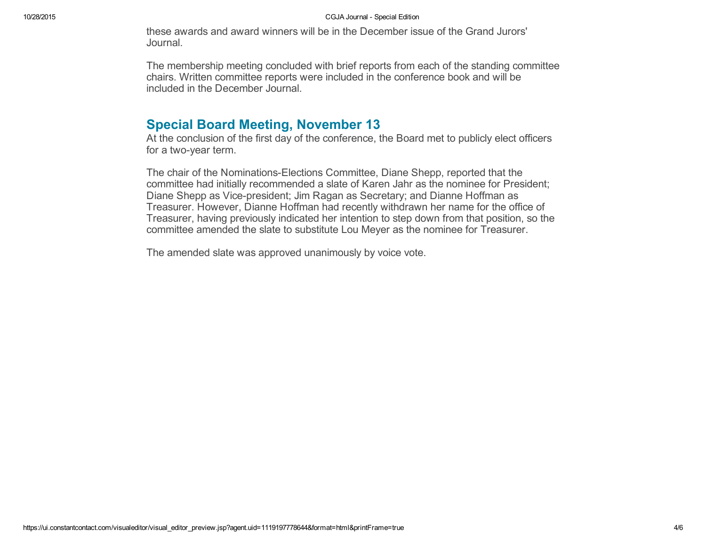these awards and award winners will be in the December issue of the Grand Jurors' Journal.

The membership meeting concluded with brief reports from each of the standing committee chairs. Written committee reports were included in the conference book and will be included in the December Journal.

## Special Board Meeting, November 13

At the conclusion of the first day of the conference, the Board met to publicly elect officers for a two-year term.

The chair of the Nominations-Elections Committee, Diane Shepp, reported that the committee had initially recommended a slate of Karen Jahr as the nominee for President; Diane Shepp as Vice-president; Jim Ragan as Secretary; and Dianne Hoffman as Treasurer. However, Dianne Hoffman had recently withdrawn her name for the office of Treasurer, having previously indicated her intention to step down from that position, so the committee amended the slate to substitute Lou Meyer as the nominee for Treasurer.

The amended slate was approved unanimously by voice vote.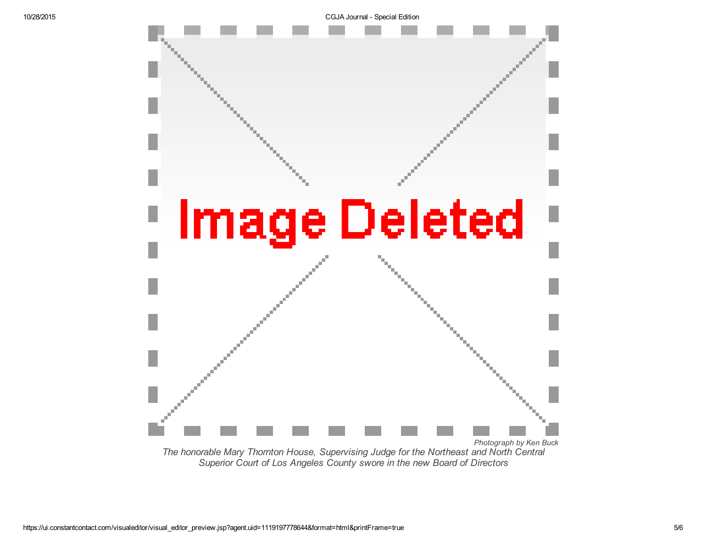

*Superior Court of Los Angeles County swore in the new Board of Directors*